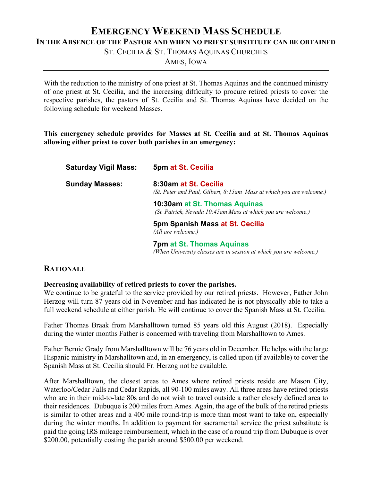# **EMERGENCY WEEKEND MASS SCHEDULE**

**IN THE ABSENCE OF THE PASTOR AND WHEN NO PRIEST SUBSTITUTE CAN BE OBTAINED**

ST. CECILIA & ST. THOMAS AQUINAS CHURCHES

AMES, IOWA

With the reduction to the ministry of one priest at St. Thomas Aquinas and the continued ministry of one priest at St. Cecilia, and the increasing difficulty to procure retired priests to cover the respective parishes, the pastors of St. Cecilia and St. Thomas Aquinas have decided on the following schedule for weekend Masses.

**This emergency schedule provides for Masses at St. Cecilia and at St. Thomas Aquinas allowing either priest to cover both parishes in an emergency:**

| <b>Saturday Vigil Mass:</b> | 5pm at St. Cecilia                                                                            |
|-----------------------------|-----------------------------------------------------------------------------------------------|
| <b>Sunday Masses:</b>       | 8:30am at St. Cecilia<br>(St. Peter and Paul, Gilbert, 8:15am Mass at which you are welcome.) |
|                             | 10:30am at St. Thomas Aquinas<br>(St. Patrick, Nevada 10:45am Mass at which you are welcome.) |
|                             | 5pm Spanish Mass at St. Cecilia<br>(All are welcome.)                                         |
|                             | <b>7pm at St. Thomas Aquinas</b>                                                              |

*(When University classes are in session at which you are welcome.)*

# **RATIONALE**

### **Decreasing availability of retired priests to cover the parishes.**

We continue to be grateful to the service provided by our retired priests. However, Father John Herzog will turn 87 years old in November and has indicated he is not physically able to take a full weekend schedule at either parish. He will continue to cover the Spanish Mass at St. Cecilia.

Father Thomas Braak from Marshalltown turned 85 years old this August (2018). Especially during the winter months Father is concerned with traveling from Marshalltown to Ames.

Father Bernie Grady from Marshalltown will be 76 years old in December. He helps with the large Hispanic ministry in Marshalltown and, in an emergency, is called upon (if available) to cover the Spanish Mass at St. Cecilia should Fr. Herzog not be available.

After Marshalltown, the closest areas to Ames where retired priests reside are Mason City, Waterloo/Cedar Falls and Cedar Rapids, all 90-100 miles away. All three areas have retired priests who are in their mid-to-late 80s and do not wish to travel outside a rather closely defined area to their residences. Dubuque is 200 miles from Ames. Again, the age of the bulk of the retired priests is similar to other areas and a 400 mile round-trip is more than most want to take on, especially during the winter months. In addition to payment for sacramental service the priest substitute is paid the going IRS mileage reimbursement, which in the case of a round trip from Dubuque is over \$200.00, potentially costing the parish around \$500.00 per weekend.